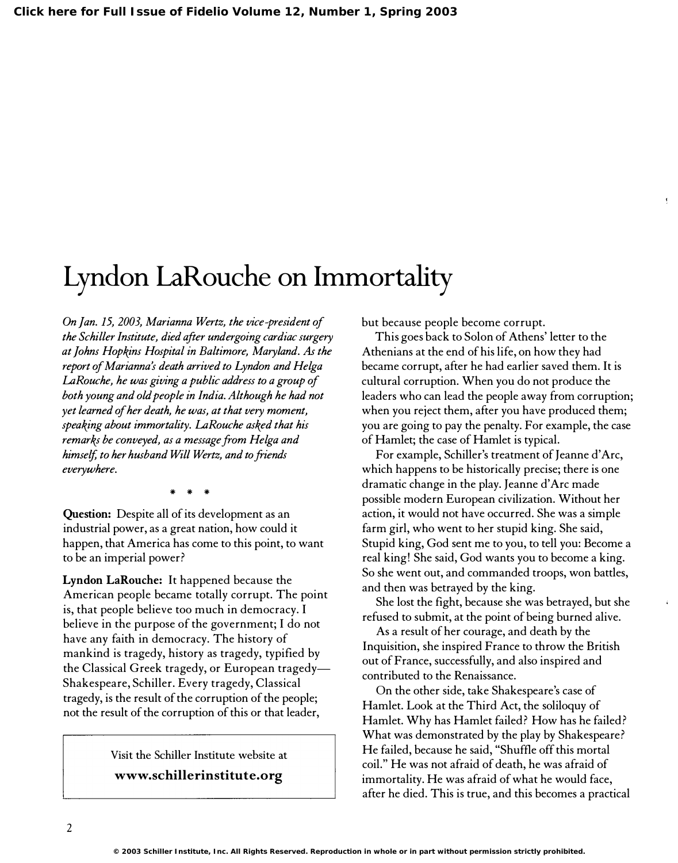## Lyndon laRouche on Immortality

On Jan. 15, 2003, Marianna Wertz, the vice-president of the Schiller Imtitute, died after undergoing cardiac surgery at Johns Hopkins Hospital in Baltimore, Maryland. As the report of Marianna's death arrived to Lyndon and Helga LaRouche, he was giving a public address to a group of both young and old people in India. Although he had not yet learned of her death, he was, at that very moment, speaking about immortality. LaRouche asked that his remarks be conveyed, as a message from Helga and himself, to her husband Will Wertz, and to friends everywhere.

"" "" ""

Question: Despite all of its development as an industrial power, as a great nation, how could it happen, that America has come to this point, to want to be an imperial power?

Lyndon LaRouche: It happened because the American people became totally corrupt. The point is, that people believe too much in democracy. I believe in the purpose of the government; I do not have any faith in democracy. The history of mankind is tragedy, history as tragedy, typified by the Classical Greek tragedy, or European tragedy-Shakespeare, Schiller. Every tragedy, Classical tragedy, is the result of the corruption of the people; not the result of the corruption of this or that leader,

## Visit the Schiller Institute website at www.schillerinstitute.org

but because people become corrupt.

This goes back to Solon of Athens' letter to the Athenians at the end of his life, on how they had became corrupt, after he had earlier saved them. It is cultural corruption. When you do not produce the leaders who can lead the people away from corruption; when you reject them, after you have produced them; you are going to pay the penalty. For example, the case of Hamlet; the case of Hamlet is typical.

For example, Schiller's treatment of Jeanne d'Arc, which happens to be historically precise; there is one dramatic change in the play. Jeanne d'Arc made possible modern European civilization. Without her action, it would not have occurred. She was a simple farm girl, who went to her stupid king. She said, Stupid king, God sent me to you, to tell you: Become a real king! She said, God wants you to become a king. So she went out, and commanded troops, won battles, and then was betrayed by the king.

She lost the fight, because she was betrayed, but she refused to submit, at the point of being burned alive.

As a result of her courage, and death by the Inquisition, she inspired France to throw the British out of France, successfully, and also inspired and contributed to the Renaissance.

On the other side, take Shakespeare's case of Hamlet. Look at the Third Act, the soliloquy of Hamlet. Why has Hamlet failed? How has he failed? What was demonstrated by the play by Shakespeare? He failed, because he said, "Shuffle off this mortal coil." He was not afraid of death, he was afraid of immortality. He was afraid of what he would face, after he died. This is true, and this becomes a practical